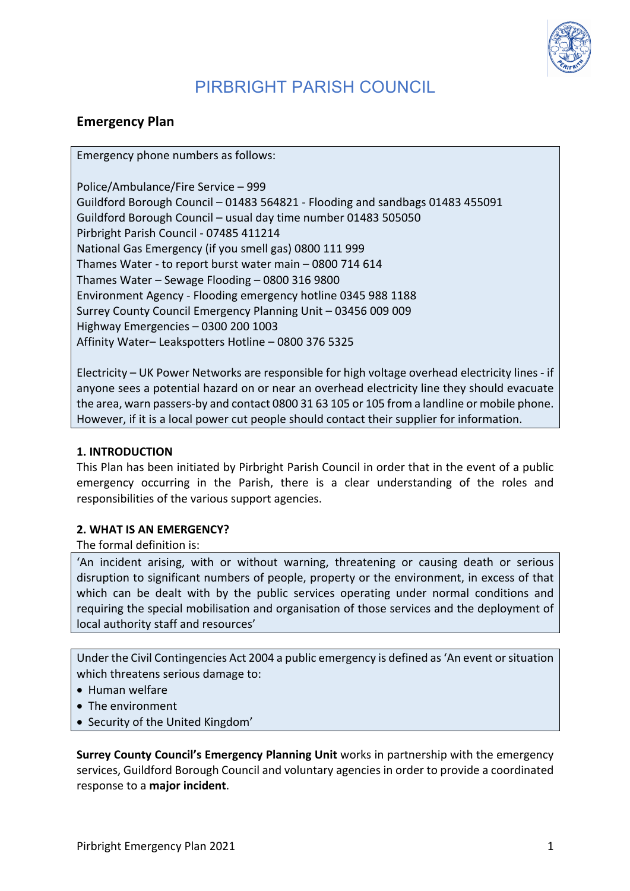

## **Emergency Plan**

Emergency phone numbers as follows:

Police/Ambulance/Fire Service – 999 Guildford Borough Council - 01483 564821 - Flooding and sandbags 01483 455091 Guildford Borough Council – usual day time number 01483 505050 Pirbright Parish Council - 07485 411214 National Gas Emergency (if you smell gas) 0800 111 999 Thames Water - to report burst water main – 0800 714 614 Thames Water – Sewage Flooding – 0800 316 9800 Environment Agency - Flooding emergency hotline 0345 988 1188 Surrey County Council Emergency Planning Unit - 03456 009 009 Highway Emergencies - 0300 200 1003 Affinity Water- Leakspotters Hotline - 0800 376 5325

Electricity – UK Power Networks are responsible for high voltage overhead electricity lines - if anyone sees a potential hazard on or near an overhead electricity line they should evacuate the area, warn passers-by and contact 0800 31 63 105 or 105 from a landline or mobile phone. However, if it is a local power cut people should contact their supplier for information.

## **1. INTRODUCTION**

This Plan has been initiated by Pirbright Parish Council in order that in the event of a public emergency occurring in the Parish, there is a clear understanding of the roles and responsibilities of the various support agencies.

#### **2. WHAT IS AN EMERGENCY?**

The formal definition is:

'An incident arising, with or without warning, threatening or causing death or serious disruption to significant numbers of people, property or the environment, in excess of that which can be dealt with by the public services operating under normal conditions and requiring the special mobilisation and organisation of those services and the deployment of local authority staff and resources'

Under the Civil Contingencies Act 2004 a public emergency is defined as 'An event or situation which threatens serious damage to:

- Human welfare
- The environment
- Security of the United Kingdom'

**Surrey County Council's Emergency Planning Unit works in partnership with the emergency** services, Guildford Borough Council and voluntary agencies in order to provide a coordinated response to a major incident.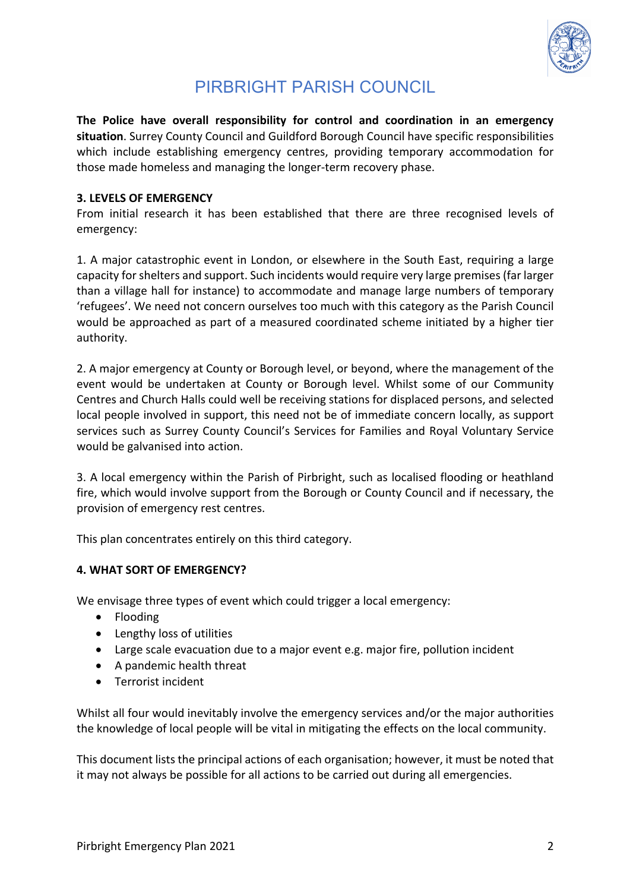

The Police have overall responsibility for control and coordination in an emergency situation. Surrey County Council and Guildford Borough Council have specific responsibilities which include establishing emergency centres, providing temporary accommodation for those made homeless and managing the longer-term recovery phase.

### **3. LEVELS OF EMERGENCY**

From initial research it has been established that there are three recognised levels of emergency: 

1. A major catastrophic event in London, or elsewhere in the South East, requiring a large capacity for shelters and support. Such incidents would require very large premises (far larger than a village hall for instance) to accommodate and manage large numbers of temporary 'refugees'. We need not concern ourselves too much with this category as the Parish Council would be approached as part of a measured coordinated scheme initiated by a higher tier authority. 

2. A major emergency at County or Borough level, or beyond, where the management of the event would be undertaken at County or Borough level. Whilst some of our Community Centres and Church Halls could well be receiving stations for displaced persons, and selected local people involved in support, this need not be of immediate concern locally, as support services such as Surrey County Council's Services for Families and Royal Voluntary Service would be galvanised into action.

3. A local emergency within the Parish of Pirbright, such as localised flooding or heathland fire, which would involve support from the Borough or County Council and if necessary, the provision of emergency rest centres.

This plan concentrates entirely on this third category.

## **4. WHAT SORT OF EMERGENCY?**

We envisage three types of event which could trigger a local emergency:

- Flooding
- Lengthy loss of utilities
- Large scale evacuation due to a major event e.g. major fire, pollution incident
- A pandemic health threat
- Terrorist incident

Whilst all four would inevitably involve the emergency services and/or the major authorities the knowledge of local people will be vital in mitigating the effects on the local community.

This document lists the principal actions of each organisation; however, it must be noted that it may not always be possible for all actions to be carried out during all emergencies.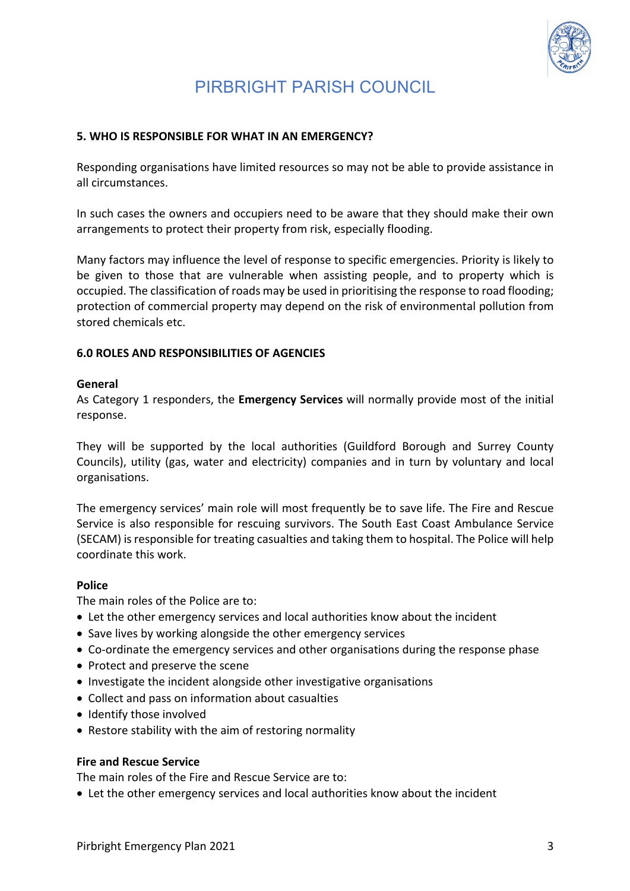

### **5. WHO IS RESPONSIBLE FOR WHAT IN AN EMERGENCY?**

Responding organisations have limited resources so may not be able to provide assistance in all circumstances

In such cases the owners and occupiers need to be aware that they should make their own arrangements to protect their property from risk, especially flooding.

Many factors may influence the level of response to specific emergencies. Priority is likely to be given to those that are vulnerable when assisting people, and to property which is occupied. The classification of roads may be used in prioritising the response to road flooding; protection of commercial property may depend on the risk of environmental pollution from stored chemicals etc.

### **6.0 ROLES AND RESPONSIBILITIES OF AGENCIES**

#### **General**

As Category 1 responders, the **Emergency Services** will normally provide most of the initial response. 

They will be supported by the local authorities (Guildford Borough and Surrey County Councils), utility (gas, water and electricity) companies and in turn by voluntary and local organisations. 

The emergency services' main role will most frequently be to save life. The Fire and Rescue Service is also responsible for rescuing survivors. The South East Coast Ambulance Service (SECAM) is responsible for treating casualties and taking them to hospital. The Police will help coordinate this work.

#### **Police**

The main roles of the Police are to:

- Let the other emergency services and local authorities know about the incident
- Save lives by working alongside the other emergency services
- Co-ordinate the emergency services and other organisations during the response phase
- Protect and preserve the scene
- Investigate the incident alongside other investigative organisations
- Collect and pass on information about casualties
- Identify those involved
- Restore stability with the aim of restoring normality

#### **Fire and Rescue Service**

The main roles of the Fire and Rescue Service are to:

• Let the other emergency services and local authorities know about the incident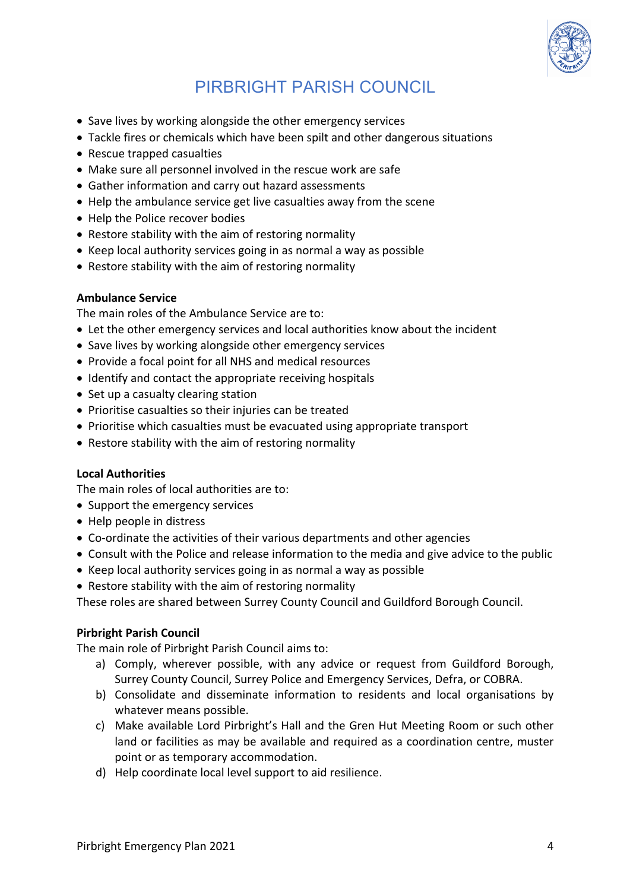

- Save lives by working alongside the other emergency services
- Tackle fires or chemicals which have been spilt and other dangerous situations
- Rescue trapped casualties
- Make sure all personnel involved in the rescue work are safe
- Gather information and carry out hazard assessments
- Help the ambulance service get live casualties away from the scene
- Help the Police recover bodies
- Restore stability with the aim of restoring normality
- Keep local authority services going in as normal a way as possible
- Restore stability with the aim of restoring normality

#### **Ambulance Service**

The main roles of the Ambulance Service are to:

- Let the other emergency services and local authorities know about the incident
- Save lives by working alongside other emergency services
- Provide a focal point for all NHS and medical resources
- Identify and contact the appropriate receiving hospitals
- Set up a casualty clearing station
- Prioritise casualties so their injuries can be treated
- Prioritise which casualties must be evacuated using appropriate transport
- Restore stability with the aim of restoring normality

## **Local Authorities**

The main roles of local authorities are to:

- Support the emergency services
- Help people in distress
- Co-ordinate the activities of their various departments and other agencies
- Consult with the Police and release information to the media and give advice to the public
- Keep local authority services going in as normal a way as possible
- Restore stability with the aim of restoring normality

These roles are shared between Surrey County Council and Guildford Borough Council.

#### **Pirbright Parish Council**

The main role of Pirbright Parish Council aims to:

- a) Comply, wherever possible, with any advice or request from Guildford Borough, Surrey County Council, Surrey Police and Emergency Services, Defra, or COBRA.
- b) Consolidate and disseminate information to residents and local organisations by whatever means possible.
- c) Make available Lord Pirbright's Hall and the Gren Hut Meeting Room or such other land or facilities as may be available and required as a coordination centre, muster point or as temporary accommodation.
- d) Help coordinate local level support to aid resilience.